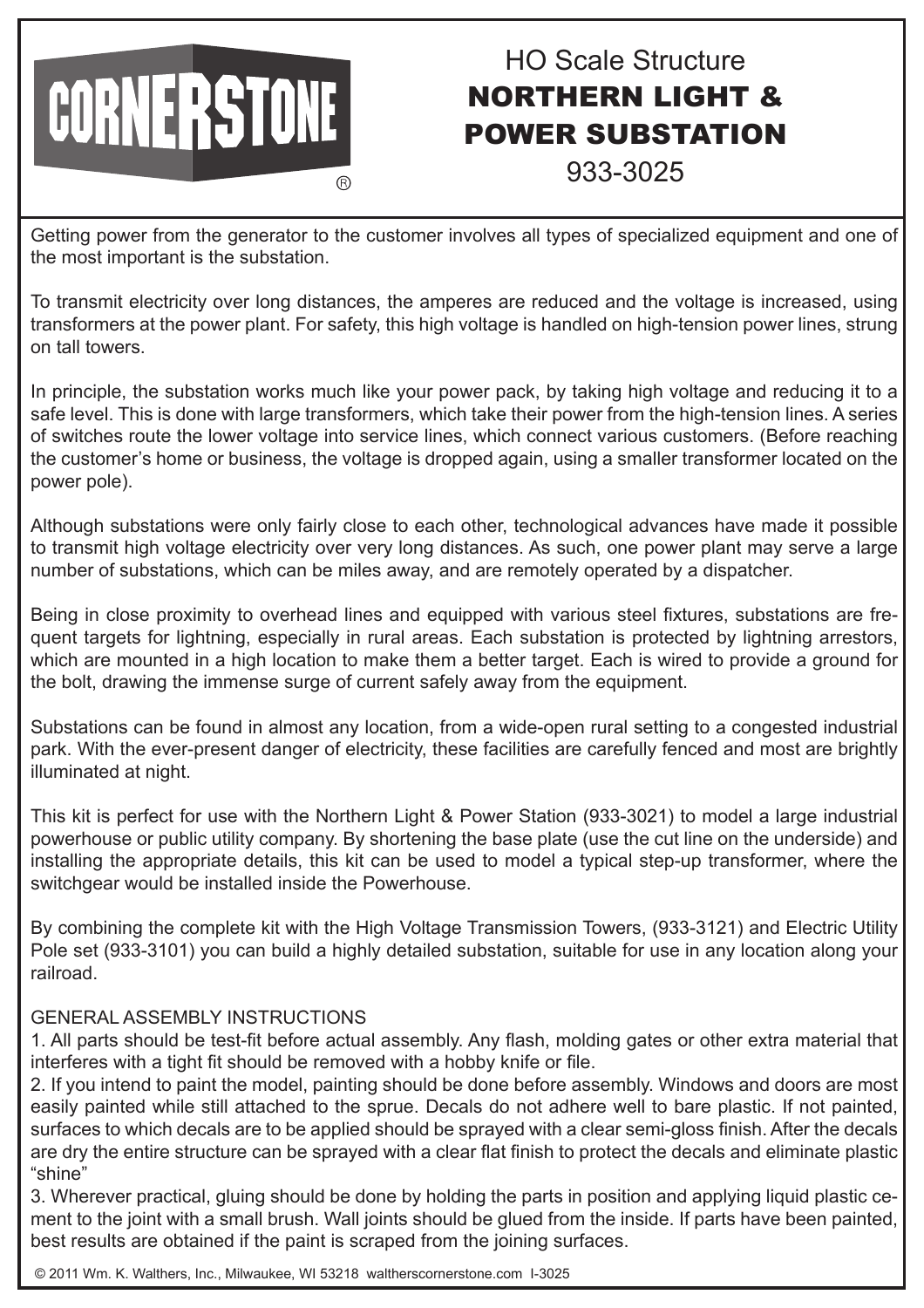## CORNERSTONE **(R)**

## HO Scale Structure NORTHERN LIGHT & POWER SUBSTATION

933-3025

Getting power from the generator to the customer involves all types of specialized equipment and one of the most important is the substation.

To transmit electricity over long distances, the amperes are reduced and the voltage is increased, using transformers at the power plant. For safety, this high voltage is handled on high-tension power lines, strung on tall towers.

In principle, the substation works much like your power pack, by taking high voltage and reducing it to a safe level. This is done with large transformers, which take their power from the high-tension lines. A series of switches route the lower voltage into service lines, which connect various customers. (Before reaching the customer's home or business, the voltage is dropped again, using a smaller transformer located on the power pole).

Although substations were only fairly close to each other, technological advances have made it possible to transmit high voltage electricity over very long distances. As such, one power plant may serve a large number of substations, which can be miles away, and are remotely operated by a dispatcher.

Being in close proximity to overhead lines and equipped with various steel fixtures, substations are frequent targets for lightning, especially in rural areas. Each substation is protected by lightning arrestors, which are mounted in a high location to make them a better target. Each is wired to provide a ground for the bolt, drawing the immense surge of current safely away from the equipment.

Substations can be found in almost any location, from a wide-open rural setting to a congested industrial park. With the ever-present danger of electricity, these facilities are carefully fenced and most are brightly illuminated at night.

This kit is perfect for use with the Northern Light & Power Station (933-3021) to model a large industrial powerhouse or public utility company. By shortening the base plate (use the cut line on the underside) and installing the appropriate details, this kit can be used to model a typical step-up transformer, where the switchgear would be installed inside the Powerhouse.

By combining the complete kit with the High Voltage Transmission Towers, (933-3121) and Electric Utility Pole set (933-3101) you can build a highly detailed substation, suitable for use in any location along your railroad.

## GENERAL ASSEMBLY INSTRUCTIONS

1. All parts should be test-fit before actual assembly. Any flash, molding gates or other extra material that interferes with a tight fit should be removed with a hobby knife or file.

2. If you intend to paint the model, painting should be done before assembly. Windows and doors are most easily painted while still attached to the sprue. Decals do not adhere well to bare plastic. If not painted, surfaces to which decals are to be applied should be sprayed with a clear semi-gloss finish. After the decals are dry the entire structure can be sprayed with a clear flat finish to protect the decals and eliminate plastic "shine"

3. Wherever practical, gluing should be done by holding the parts in position and applying liquid plastic cement to the joint with a small brush. Wall joints should be glued from the inside. If parts have been painted, best results are obtained if the paint is scraped from the joining surfaces.

© 2011 Wm. K. Walthers, Inc., Milwaukee, WI 53218 waltherscornerstone.com I-3025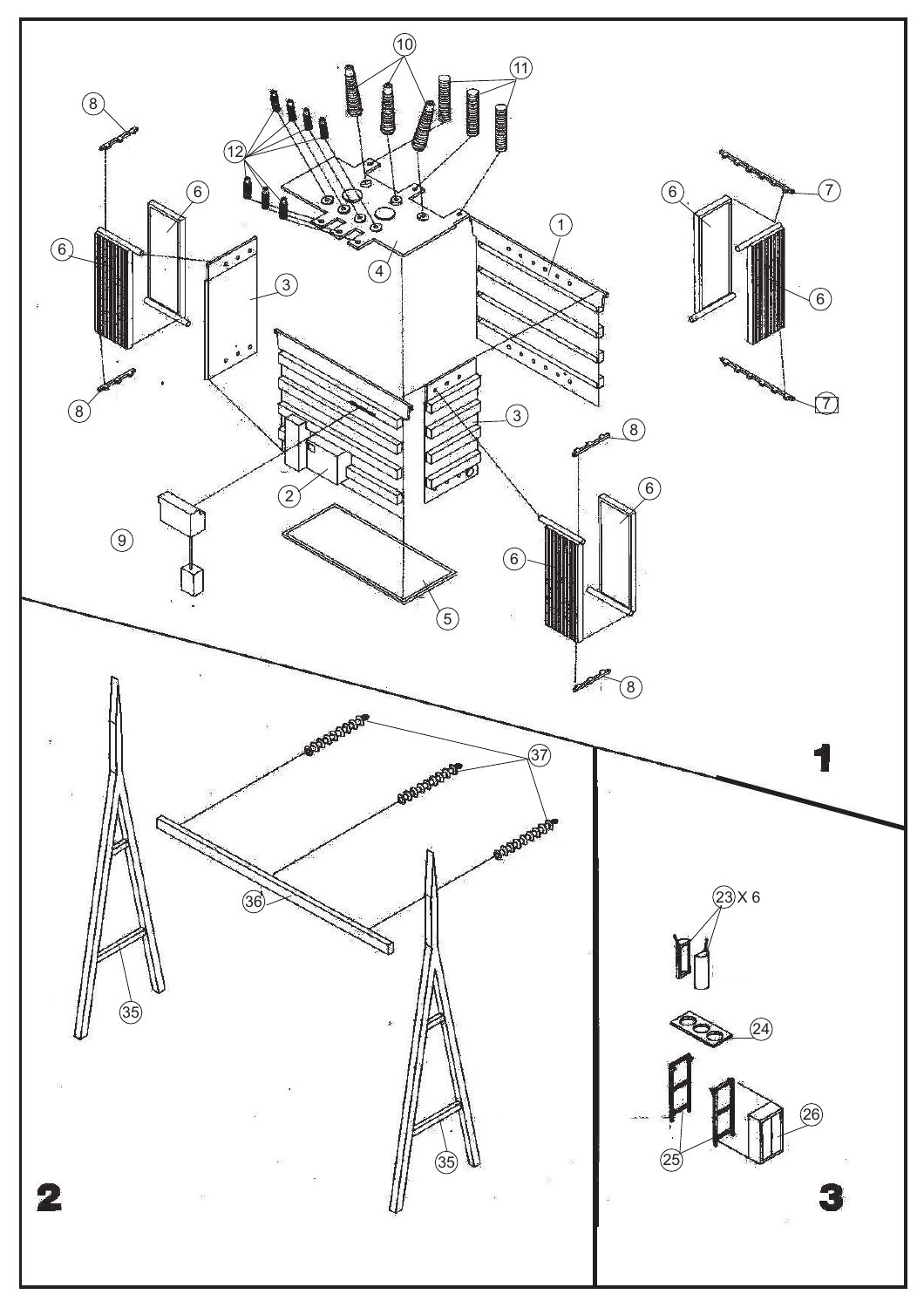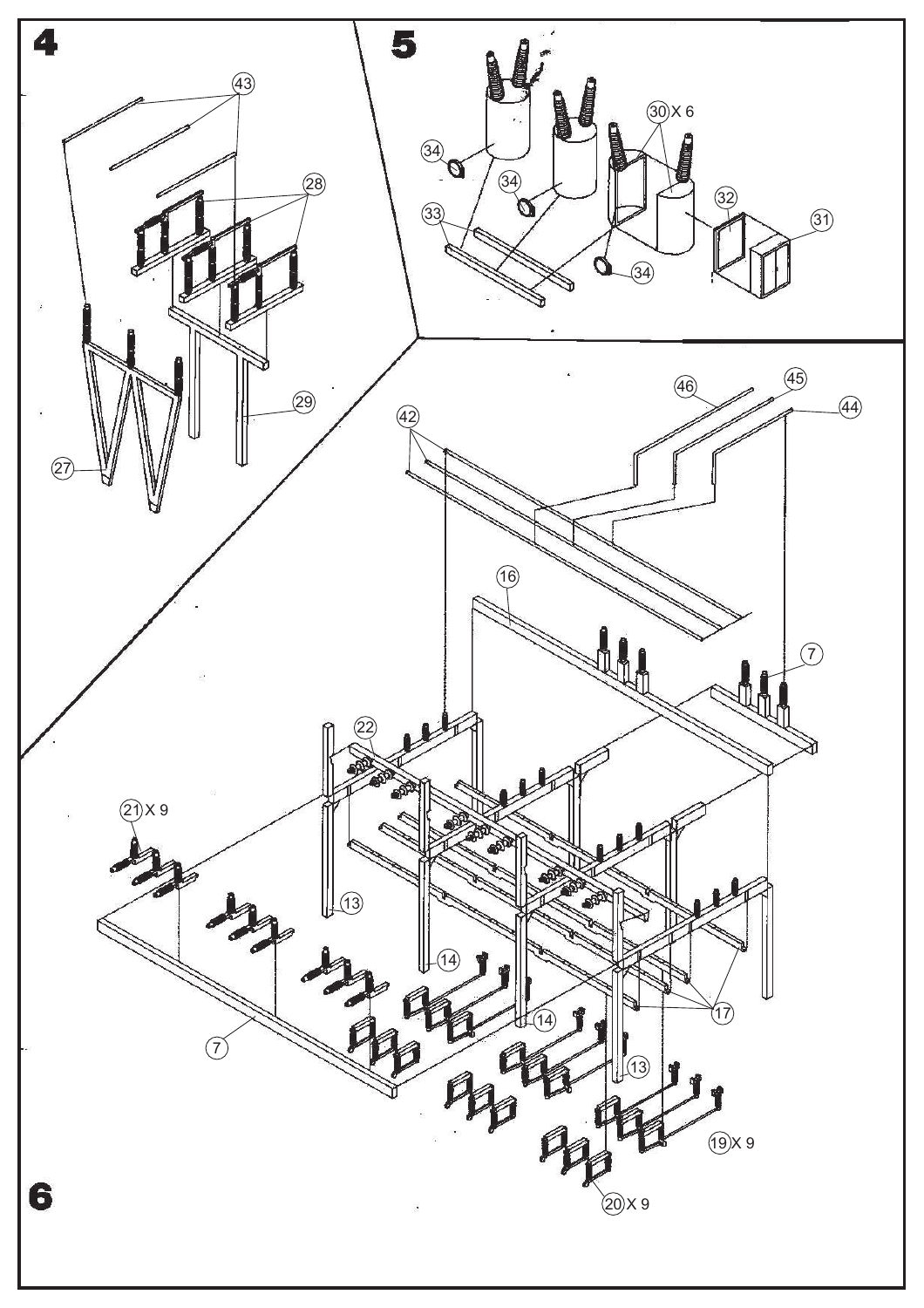